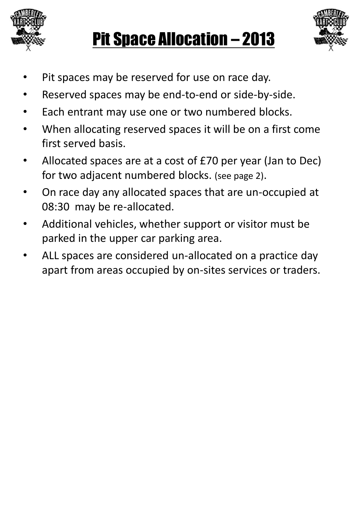





- Pit spaces may be reserved for use on race day.
- Reserved spaces may be end-to-end or side-by-side.
- Each entrant may use one or two numbered blocks.
- When allocating reserved spaces it will be on a first come first served basis.
- Allocated spaces are at a cost of £70 per year (Jan to Dec) for two adjacent numbered blocks. (see page 2).
- On race day any allocated spaces that are un-occupied at 08:30 may be re-allocated.
- Additional vehicles, whether support or visitor must be parked in the upper car parking area.
- ALL spaces are considered un-allocated on a practice day apart from areas occupied by on-sites services or traders.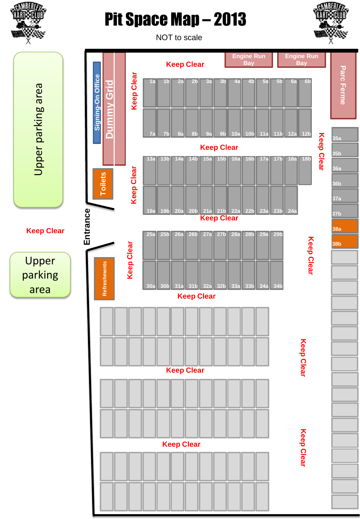

## Pit Space Map – 2013



**Parc**

**Ferme**

**35a**

**35b**

**36a**

**36b**

**37a**

**37b**

**38a**

**38b**

NOT to scale **Engine Run Engine Run Keep Clear Bay Bay Keep Clear Keep Clear Keep Clear** Signing-On Office **Toilets Signing-On Office 1a 1b 2a 2b 3a 3b 4a 4b 5a 5b 6a 6b Dummy Grid** Upper parking area Upper parking area **7a 7b 8a 8b 9a 9b 10a 10b 11a 11b 12a 12b Keep Clear 13a 13b 14a 14b 15a 15b 16a 16b 17a 17b 18a 18b Keep Clear Toilets Entrance 19a 19b 20a 20b 21a 21b 22a 22b 23a 23b 24a Keep Clear Keep Clear 25a 25b 26a 26b 27a 27b 28a 28b 29a 29b Keep Clear** Upper **Refreshments Refreshments** parking area **30a 30b 31a 31b 32a 32b 33a 33b 34a 34b Keep Clear Keep Clear Keep Clear Keep Clear**

**Keep Clear Keep Clear**

**Keep Clear**

**Keep Clear**

**Keep Clear** 

**Keep Clear**

**Keep Clear**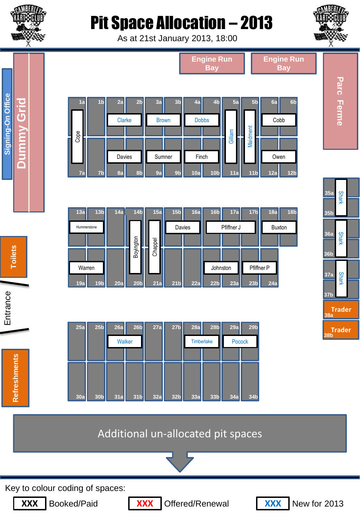

**Dummy Grid** 

**Toilets Signing-On Office**

Signing-On Office

## Pit Space Allocation – 2013

As at 21st January 2013, 18:00



## Additional un-allocated pit spaces



Key to colour coding of spaces:



**Refreshments**

**Refreshments** 

Entrance

**Toilets**